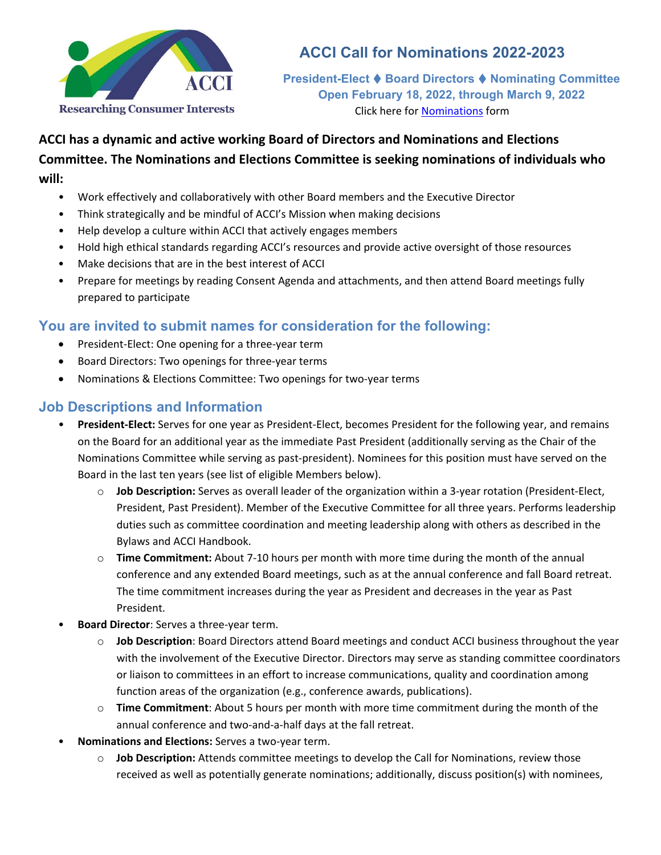

# **ACCI Call for Nominations 2022-2023**

**President-Elect Board Directors Nominating Committee Open February 18, 2022, through March 9, 2022** Click here for [Nominations](https://acci.memberclicks.net/assets/docs/Elections/Election2022/NominationsForm2022.docx) form

## **ACCI has a dynamic and active working Board of Directors and Nominations and Elections Committee. The Nominations and Elections Committee is seeking nominations of individuals who will:**

- Work effectively and collaboratively with other Board members and the Executive Director
- Think strategically and be mindful of ACCI's Mission when making decisions
- Help develop a culture within ACCI that actively engages members
- Hold high ethical standards regarding ACCI's resources and provide active oversight of those resources
- Make decisions that are in the best interest of ACCI
- Prepare for meetings by reading Consent Agenda and attachments, and then attend Board meetings fully prepared to participate

### **You are invited to submit names for consideration for the following:**

- President-Elect: One opening for a three-year term
- Board Directors: Two openings for three-year terms
- Nominations & Elections Committee: Two openings for two-year terms

#### **Job Descriptions and Information**

- **President-Elect:** Serves for one year as President-Elect, becomes President for the following year, and remains on the Board for an additional year as the immediate Past President (additionally serving as the Chair of the Nominations Committee while serving as past-president). Nominees for this position must have served on the Board in the last ten years (see list of eligible Members below).
	- o **Job Description:** Serves as overall leader of the organization within a 3-year rotation (President-Elect, President, Past President). Member of the Executive Committee for all three years. Performs leadership duties such as committee coordination and meeting leadership along with others as described in the Bylaws and ACCI Handbook.
	- o **Time Commitment:** About 7-10 hours per month with more time during the month of the annual conference and any extended Board meetings, such as at the annual conference and fall Board retreat. The time commitment increases during the year as President and decreases in the year as Past President.
- **Board Director**: Serves a three-year term.
	- o **Job Description**: Board Directors attend Board meetings and conduct ACCI business throughout the year with the involvement of the Executive Director. Directors may serve as standing committee coordinators or liaison to committees in an effort to increase communications, quality and coordination among function areas of the organization (e.g., conference awards, publications).
	- o **Time Commitment**: About 5 hours per month with more time commitment during the month of the annual conference and two-and-a-half days at the fall retreat.
- **Nominations and Elections:** Serves a two-year term.
	- o **Job Description:** Attends committee meetings to develop the Call for Nominations, review those received as well as potentially generate nominations; additionally, discuss position(s) with nominees,